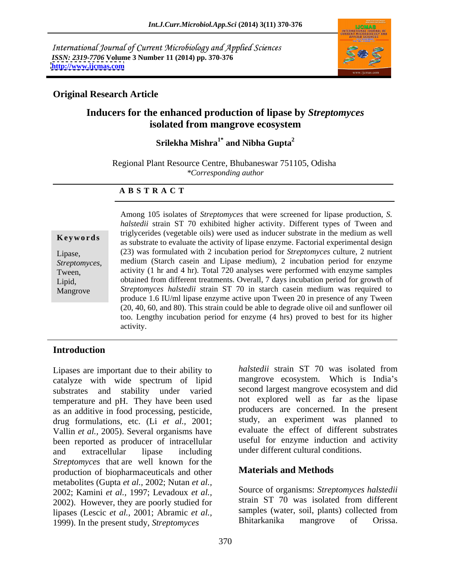International Journal of Current Microbiology and Applied Sciences *ISSN: 2319-7706* **Volume 3 Number 11 (2014) pp. 370-376 <http://www.ijcmas.com>**



## **Original Research Article**

# **Inducers for the enhanced production of lipase by** *Streptomyces* **isolated from mangrove ecosystem**

### **Srilekha Mishra1\* and Nibha Gupta<sup>2</sup>**

Regional Plant Resource Centre, Bhubaneswar 751105, Odisha *\*Corresponding author*

### **A B S T R A C T**

**Keywords** as substrate to evaluate the activity of lipase enzyme. Factorial experimental design Lipase, (23) was formulated with 2 incubation period for *Streptomyces* culture,2 nutrient *Streptomyces*, medium (Starch casein and Lipase medium), 2 incubation period for enzyme activity (1 hr and 4 hr). Total 720 analyses were performed with enzyme samples Lipid, obtained from different treatments. Overall, 7 days incubation period for growth of Mangrove *Streptomyces halstedii* strain ST 70 in starch casein medium was required to Among 105 isolates of *Streptomyces* that were screened for lipase production, *S. halstedii* strain ST 70 exhibited higher activity. Different types of Tween and triglycerides (vegetable oils) were used as inducer substrate in the medium as well medium (Starch casein and Lipase medium), 2 incubation period for enzyme produce 1.6 IU/ml lipase enzyme active upon Tween 20 in presence of any Tween (20, 40, 60, and 80). This strain could be able to degrade olive oil and sunflower oil too. Lengthy incubation period for enzyme (4 hrs) proved to best for its higher activity.

### **Introduction**

catalyze with wide spectrum of lipid substrates and stability under varied temperature and pH. They have been used as an additive in food processing, pesticide, drug formulations, etc. (Li *et al.,* 2001; Vallin *et al.,* 2005). Several organisms have been reported as producer of intracellular and extracellular lipase including *Streptomyces* that are well known for the production of biopharmaceuticals and other metabolites (Gupta *et al.,* 2002; Nutan *et al.,* 2002; Kamini *et al.,* 1997; Levadoux *et al.,* 2002). However, they are poorly studied for lipases (Lescic *et al.*, 2001; Abramic *et al.*, samples (water, soil, plants) collected from 1999) In the present study Streptomyces Bhitarkanika mangrove of Orissa. 1999). In the present study, *Streptomyces*

Lipases are important due to their ability to halstedii strain ST 70 was isolated from *halstedii* strain ST 70 was isolated from mangrove ecosystem. Which is India's second largest mangrove ecosystem and did not explored well as far as the lipase producers are concerned. In the present study, an experiment was planned to evaluate the effect of different substrates useful for enzyme induction and activity under different cultural conditions.

# **Materials and Methods**

Source of organisms: *Streptomyces halstedii* strain ST 70 was isolated from different samples (water, soil, plants) collected from Bhitarkanika mangrove of Orissa.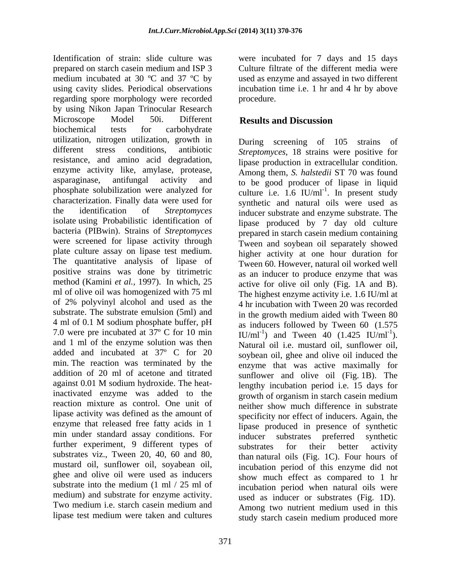Identification of strain: slide culture was were incubated for 7 days and 15 days prepared on starch casein medium and ISP 3 Culture filtrate of the different media were medium incubated at 30 °C and 37 °C by used as enzyme and assayed in two different using cavity slides. Periodical observations incubation time i.e. 1 hr and 4 hr by above regarding spore morphology were recorded by using Nikon Japan Trinocular Research Microscope Model 50i. Different Results and Discussion biochemical tests for carbohydrate utilization, nitrogen utilization, growth in different stress conditions, antibiotic *Streptomyces*, 18 strains were positive for resistance, and amino acid degradation, enzyme activity like, amylase, protease, asparaginase, antifungal activity and to be good producer of lipase in liquid phosphate solubilization were analyzed for culture i.e. 1.6 IU/ml<sup>-1</sup>. In present study characterization. Finally data were used for synthetic and natural oils were used as the identification of *Streptomyces* inducer substrate and enzyme substrate. The isolate using Probabilistic identification of bacteria (PIBwin). Strains of *Streptomyces* were screened for lipase activity through plate culture assay on lipase test medium. The quantitative analysis of lipase of positive strains was done by titrimetric method (Kamini *et al.*, 1997). In which, 25 active for olive oil only (Fig. 1A and B). ml of olive oil was homogenized with 75 ml The highest enzyme activity i.e. 1.6 IU/ml at of 2% polyvinyl alcohol and used as the 4 hr incubation with Tween 20 was recorded substrate. The substrate emulsion (5ml) and 4 ml of 0.1 M sodium phosphate buffer, pH  $\qquad$  as inducers followed by Tween 60 (1.575) 7.0 were pre incubated at 37º C for 10 min and 1 ml of the enzyme solution was then added and incubated at 37º C for 20 min. The reaction was terminated by the enzyme that was active maximally for addition of 20 ml of acetone and titrated against 0.01 M sodium hydroxide. The heat-<br>lengthy incubation period i.e., 15 days for inactivated enzyme was added to the growth of organism in starch case in medium reaction mixture as control. One unit of neither show much difference in substrate lipase activity was defined as the amount of enzyme that released free fatty acids in 1 min under standard assay conditions. For inducer substrates preferred synthetic further experiment, 9 different types of substrates for their better activity substrates viz., Tween 20, 40, 60 and 80, mustard oil, sunflower oil, soyabean oil, ghee and olive oil were used as inducers substrate into the medium  $(1 \text{ ml} / 25 \text{ ml of}$  incubation period when natural oils were medium) and substrate for enzyme activity. used as inducer or substrates (Fig. 1D). Two medium i.e. starch casein medium and lipase test medium were taken and cultures

procedure.

# **Results and Discussion**

During screening of 105 strains of lipase production in extracellular condition. Among them, *S. halstedii* ST 70 was found . In present study lipase produced by 7 day old culture prepared in starch casein medium containing Tween and soybean oil separately showed higher activity at one hour duration for Tween 60. However, natural oil worked well as an inducer to produce enzyme that was in the growth medium aided with Tween 80 as inducers followed by Tween 60 (1.575 IU/ml<sup>-1</sup>) and Tween 40 (1.425 IU/ml<sup>-1</sup>). ). Natural oil i.e. mustard oil, sunflower oil, soybean oil, ghee and olive oil induced the sunflower and olive oil (Fig. 1B). The lengthy incubation period i.e. 15 days for growth of organism in starch casein medium specificity nor effect of inducers. Again, the lipase produced in presence of synthetic inducer substrates preferred synthetic substrates for their better activity than natural oils (Fig. 1C). Four hours of incubation period of this enzyme did not show much effect as compared to 1 hr Among two nutrient medium used in this study starch casein medium produced more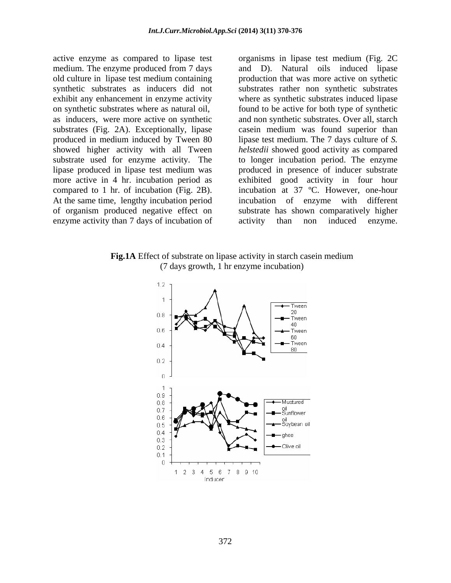enzyme activity than 7 days of incubation of activity than non induced enzyme.

active enzyme as compared to lipase test organisms in lipase test medium (Fig. 2C medium. The enzyme produced from 7 days and D). Natural oils induced lipase old culture in lipase test medium containing production that was more active on sythetic synthetic substrates as inducers did not substrates rather non synthetic substrates exhibit any enhancement in enzyme activity where as synthetic substrates induced lipase on synthetic substrates where as natural oil, found to be active for both type of synthetic as inducers, were more active on synthetic and non synthetic substrates. Over all, starch substrates (Fig. 2A). Exceptionally, lipase casein medium was found superior than produced in medium induced by Tween 80 lipase test medium. The 7 days culture of *S.*  showed higher activity with all Tween *helstedii* showed good activity as compared substrate used for enzyme activity. The to longer incubation period. The enzyme lipase produced in lipase test medium was produced in presence of inducer substrate more active in 4 hr. incubation period as exhibited good activity in four hour compared to 1 hr. of incubation (Fig. 2B). <br>At the same time, lengthy incubation period incubation of enzyme with different of organism produced negative effect on substrate has shown comparatively higher incubation at 37 ºC. However, one-hour incubation of enzyme with different activity than non induced enzyme.

**Fig.1A** Effect of substrate on lipase activity in starch casein medium (7 days growth, 1 hr enzyme incubation)

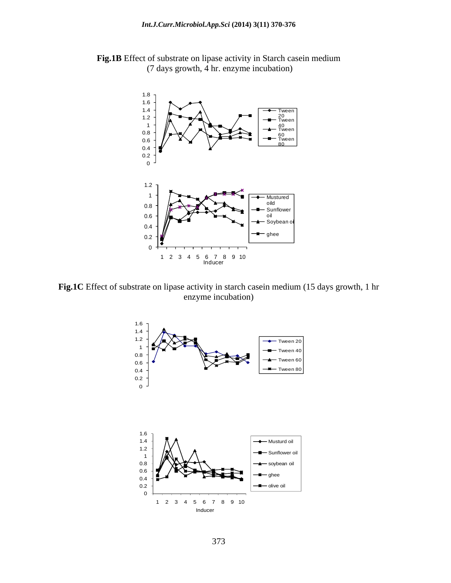

**Fig.1B** Effect of substrate on lipase activity in Starch casein medium (7 days growth, 4 hr. enzyme incubation)

**Fig.1C** Effect of substrate on lipase activity in starch casein medium (15 days growth, 1 hr enzyme incubation)

![](_page_3_Figure_4.jpeg)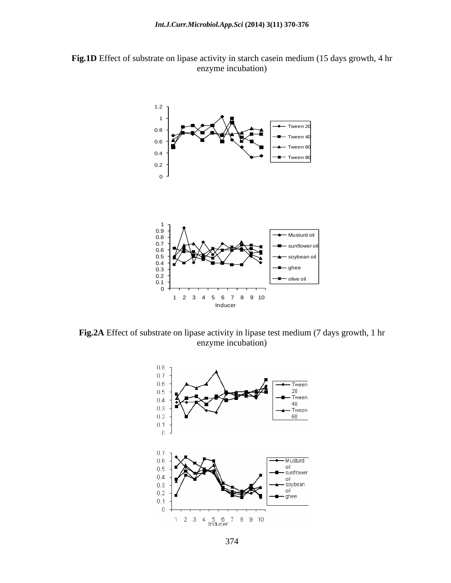![](_page_4_Figure_1.jpeg)

![](_page_4_Figure_2.jpeg)

**Fig.2A** Effect of substrate on lipase activity in lipase test medium (7 days growth, 1 hr enzyme incubation)

![](_page_4_Figure_4.jpeg)

374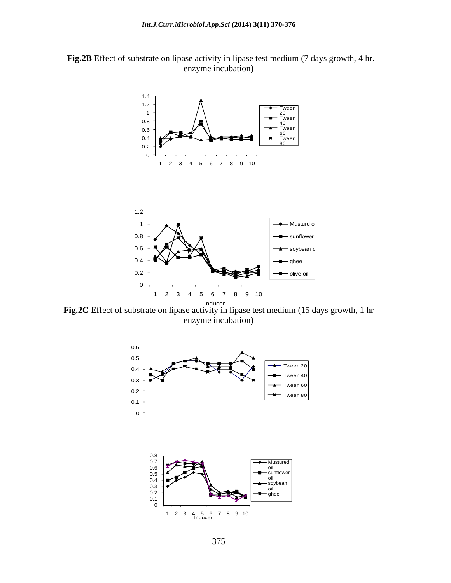![](_page_5_Figure_1.jpeg)

![](_page_5_Figure_2.jpeg)

**Fig.2C** Effect of substrate on lipase activity in lipase test medium (15 days growth, 1 hr enzyme incubation)

![](_page_5_Figure_4.jpeg)